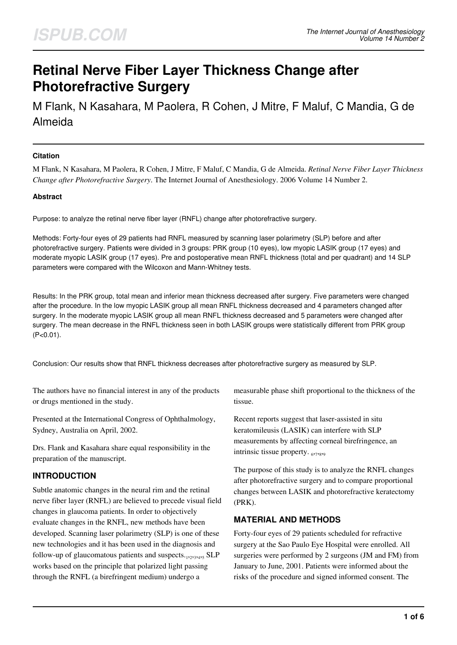# **Retinal Nerve Fiber Layer Thickness Change after Photorefractive Surgery**

M Flank, N Kasahara, M Paolera, R Cohen, J Mitre, F Maluf, C Mandia, G de Almeida

#### **Citation**

M Flank, N Kasahara, M Paolera, R Cohen, J Mitre, F Maluf, C Mandia, G de Almeida. *Retinal Nerve Fiber Layer Thickness Change after Photorefractive Surgery*. The Internet Journal of Anesthesiology. 2006 Volume 14 Number 2.

### **Abstract**

Purpose: to analyze the retinal nerve fiber layer (RNFL) change after photorefractive surgery.

Methods: Forty-four eyes of 29 patients had RNFL measured by scanning laser polarimetry (SLP) before and after photorefractive surgery. Patients were divided in 3 groups: PRK group (10 eyes), low myopic LASIK group (17 eyes) and moderate myopic LASIK group (17 eyes). Pre and postoperative mean RNFL thickness (total and per quadrant) and 14 SLP parameters were compared with the Wilcoxon and Mann-Whitney tests.

Results: In the PRK group, total mean and inferior mean thickness decreased after surgery. Five parameters were changed after the procedure. In the low myopic LASIK group all mean RNFL thickness decreased and 4 parameters changed after surgery. In the moderate myopic LASIK group all mean RNFL thickness decreased and 5 parameters were changed after surgery. The mean decrease in the RNFL thickness seen in both LASIK groups were statistically different from PRK group  $(P<0.01)$ .

Conclusion: Our results show that RNFL thickness decreases after photorefractive surgery as measured by SLP.

The authors have no financial interest in any of the products or drugs mentioned in the study.

Presented at the International Congress of Ophthalmology, Sydney, Australia on April, 2002.

Drs. Flank and Kasahara share equal responsibility in the preparation of the manuscript.

# **INTRODUCTION**

Subtle anatomic changes in the neural rim and the retinal nerve fiber layer (RNFL) are believed to precede visual field changes in glaucoma patients. In order to objectively evaluate changes in the RNFL, new methods have been developed. Scanning laser polarimetry (SLP) is one of these new technologies and it has been used in the diagnosis and follow-up of glaucomatous patients and suspects.1,2,3,4,5 SLP works based on the principle that polarized light passing through the RNFL (a birefringent medium) undergo a

measurable phase shift proportional to the thickness of the tissue.

Recent reports suggest that laser-assisted in situ keratomileusis (LASIK) can interfere with SLP measurements by affecting corneal birefringence, an intrinsic tissue property.  $_{6,7,8,9}$ 

The purpose of this study is to analyze the RNFL changes after photorefractive surgery and to compare proportional changes between LASIK and photorefractive keratectomy (PRK).

# **MATERIAL AND METHODS**

Forty-four eyes of 29 patients scheduled for refractive surgery at the Sao Paulo Eye Hospital were enrolled. All surgeries were performed by 2 surgeons (JM and FM) from January to June, 2001. Patients were informed about the risks of the procedure and signed informed consent. The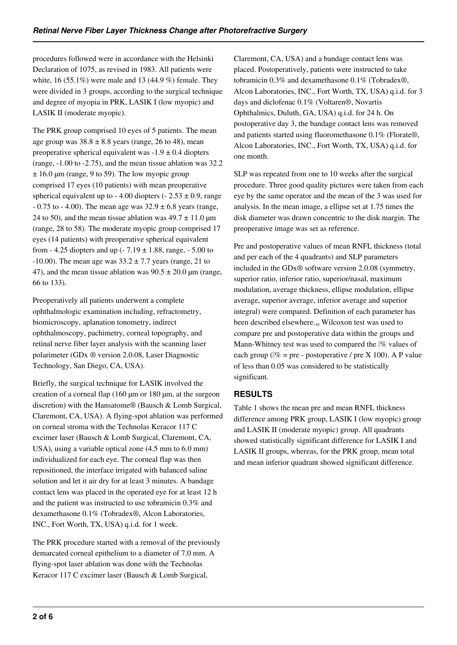procedures followed were in accordance with the Helsinki Declaration of 1075, as revised in 1983. All patients were white, 16 (55.1%) were male and 13 (44.9 %) female. They were divided in 3 groups, according to the surgical technique and degree of myopia in PRK, LASIK I (low myopic) and LASIK II (moderate myopic).

The PRK group comprised 10 eyes of 5 patients. The mean age group was  $38.8 \pm 8.8$  years (range, 26 to 48), mean preoperative spherical equivalent was  $-1.9 \pm 0.4$  diopters (range, -1.00 to -2.75), and the mean tissue ablation was 32.2  $\pm$  16.0 µm (range, 9 to 59). The low myopic group comprised 17 eyes (10 patients) with mean preoperative spherical equivalent up to - 4.00 diopters (-  $2.53 \pm 0.9$ , range  $-0.75$  to  $-4.00$ ). The mean age was  $32.9 \pm 6.8$  years (range, 24 to 50), and the mean tissue ablation was  $49.7 \pm 11.0 \,\text{\mu m}$ (range, 28 to 58). The moderate myopic group comprised 17 eyes (14 patients) with preoperative spherical equivalent from - 4.25 diopters and up (-  $7.19 \pm 1.88$ , range, - 5.00 to -10.00). The mean age was  $33.2 \pm 7.7$  years (range, 21 to 47), and the mean tissue ablation was  $90.5 \pm 20.0$  µm (range, 66 to 133).

Preoperatively all patients underwent a complete ophthalmologic examination including, refractometry, biomicroscopy, aplanation tonometry, indirect ophthalmoscopy, pachimetry, corneal topography, and retinal nerve fiber layer analysis with the scanning laser polarimeter (GDx ® version 2.0.08, Laser Diagnostic Technology, San Diego, CA, USA).

Briefly, the surgical technique for LASIK involved the creation of a corneal flap (160 µm or 180 µm, at the surgeon discretion) with the Hansatome® (Bausch & Lomb Surgical, Claremont, CA, USA). A flying-spot ablation was performed on corneal stroma with the Technolas Keracor 117 C excimer laser (Bausch & Lomb Surgical, Claremont, CA, USA), using a variable optical zone (4.5 mm to 6.0 mm) individualized for each eye. The corneal flap was then repositioned, the interface irrigated with balanced saline solution and let it air dry for at least 3 minutes. A bandage contact lens was placed in the operated eye for at least 12 h and the patient was instructed to use tobramicin 0.3% and dexamethasone 0.1% (Tobradex®, Alcon Laboratories, INC., Fort Worth, TX, USA) q.i.d. for 1 week.

The PRK procedure started with a removal of the previously demarcated corneal epithelium to a diameter of 7.0 mm. A flying-spot laser ablation was done with the Technolas Keracor 117 C excimer laser (Bausch & Lomb Surgical,

Claremont, CA, USA) and a bandage contact lens was placed. Postoperatively, patients were instructed to take tobramicin 0.3% and dexamethasone 0.1% (Tobradex®, Alcon Laboratories, INC., Fort Worth, TX, USA) q.i.d. for 3 days and diclofenac 0.1% (Voltaren®, Novartis Ophthalmics, Duluth, GA, USA) q.i.d. for 24 h. On postoperative day 3, the bandage contact lens was removed and patients started using fluoromethasone 0.1% (Florate®, Alcon Laboratories, INC., Fort Worth, TX, USA) q.i.d. for one month.

SLP was repeated from one to 10 weeks after the surgical procedure. Three good quality pictures were taken from each eye by the same operator and the mean of the 3 was used for analysis. In the mean image, a ellipse set at 1.75 times the disk diameter was drawn concentric to the disk margin. The preoperative image was set as reference.

Pre and postoperative values of mean RNFL thickness (total and per each of the 4 quadrants) and SLP parameters included in the GDx® software version 2.0.08 (symmetry, superior ratio, inferior ratio, superior/nasal, maximum modulation, average thickness, ellipse modulation, ellipse average, superior average, inferior average and superior integral) were compared. Definition of each parameter has been described elsewhere.<sub>10</sub> Wilcoxon test was used to compare pre and postoperative data within the groups and Mann-Whitney test was used to compared the  $\frac{1}{6}$  values of each group ( $\%$  = pre - postoperative / pre X 100). A P value of less than 0.05 was considered to be statistically significant.

# **RESULTS**

Table 1 shows the mean pre and mean RNFL thickness difference among PRK group, LASIK I (low myopic) group and LASIK II (moderate myopic) group. All quadrants showed statistically significant difference for LASIK I and LASIK II groups, whereas, for the PRK group, mean total and mean inferior quadrant showed significant difference.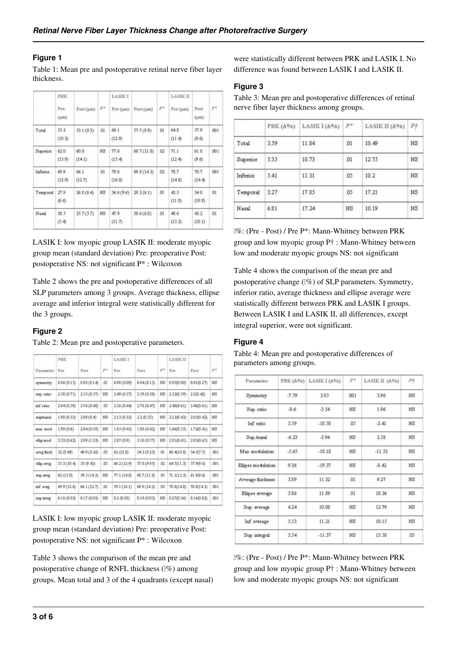#### **Figure 1**

Table 1: Mean pre and postoperative retinal nerve fiber layer thickness.

|          | <b>PRK</b>       |                |             | <b>LASIKI</b>  |             |     | <b>LASIK II</b> |                   |       |
|----------|------------------|----------------|-------------|----------------|-------------|-----|-----------------|-------------------|-------|
|          | Pre<br>$(\mu m)$ | $Post(\mu m)$  | $P^{\circ}$ | Pre (µm)       | Post (um)   | p*  | Pre (um)        | Post<br>$(\mu$ m) | $P^*$ |
| Total    | 55.2<br>(10.3)   | 53.1 (9.3)     | 01          | 66.1<br>(12.9) | 57.7 (9.9)  | 01  | 64.8<br>(11.4)  | 57.9<br>(9.6)     | .001  |
| Superior | 62.0<br>(13.9)   | 60.0<br>(14.1) | NS          | 77.6<br>(15.4) | 68.7 (11.8) | 02  | 71.1<br>(12.4)  | 61.8<br>(9.6)     | .001  |
| Inferior | 69.9<br>(12.9)   | 66.1<br>(12.7) | .01         | 79.0<br>(16.0) | 69.8 (14.3) | 02  | 78.7<br>(14.8)  | 70.7<br>(14.4)    | .001  |
| Temporal | 27.9<br>(6.6)    | 26.8(6.4)      | NS          | 36.6(9.6)      | 29.2(6.1)   | .01 | 42.3<br>(11.8)  | 34.8<br>(10.8)    | .01   |
| Nasal    | 38.5<br>(5.4)    | 35.7(5.7)      | NS          | 47.9<br>(11.7) | 38.6(6.8)   | 01  | 48.6<br>(13.2)  | 43.2<br>(10.1)    | .01   |

LASIK I: low myopic group LASIK II: moderate myopic group mean (standard deviation) Pre: preoperative Post: postoperative NS: not significant P\* : Wilcoxon

Table 2 shows the pre and postoperative differences of all SLP parameters among 3 groups. Average thickness, ellipse average and inferior integral were statistically different for the 3 groups.

#### **Figure 2**

Table 2: Mean pre and postoperative parameters.

|            | <b>PRK</b>  |             |           | <b>LASIKI</b> |             |     | <b>LASIK II</b> |            |      |
|------------|-------------|-------------|-----------|---------------|-------------|-----|-----------------|------------|------|
| Parameter  | Pre         | Post        | $P^{\pm}$ | Pre           | Post        | p*  | Pre             | Post       | p+   |
| symmetry   | 0.86(0.15)  | 0.92(0.14)  | 01        | 0.98 (0.09)   | 0.94(0.13)  | NS  | 0.93(0.09)      | 0.91(0.27) | NS   |
| sup ratio  | 2.58(0.71)  | 2.55 (0.57) | NS        | 2.49 (0.37)   | 2.59 (0.38) | NS  | 2320.59)        | 22(0.42)   | NS   |
| inf. ratio | 294 (0.59)  | 2.76(0.48)  | 05        | 2.56 (0.44)   | 2.78(0.47)  | NS  | 2.48(0.61)      | 2.48(0.61) | NS   |
| suphesal   | 1.98(0.33)  | 2.09(0.4)   | NS        | 2.13(0.32)    | 2.2(0.35)   | NS  | 2.12(0.43)      | 2050.42    | NS   |
| max. mod.  | 1.99(0.6)   | 2.04 (0.59) | NS        | 1.65 (0.43)   | 1.88 (0.42) | NS  | 1.66(0.55)      | 1.72(0.41) | NS   |
| ellip.mod  | 3.33 (0.62) | 299 (123)   | NS        | 2.87 (0.9)    | 3.18(0.57)  | NS  | 2.81(0.61)      | 295(0.65)  | NS   |
| avrg thick | 52 (8.69)   | 49.9 (8.26) | .05       | 62 (12.8)     | 54.3 (9.23) | 01  | 60.4(10.0)      | 54.5(7.7)  | .001 |
| ellip.svrg | 55.3 (10.4) | 53 (9.43)   | .05       | 66.2 (12.9)   | 57.8 (9.95) | 02  | 64.7(11.3)      | 57.9(9.6)  | .001 |
| sup aveg   | 62 (13.9)   | 59.5 (14.2) | NS        | 77.1(14.8)    | 68.7(11.8)  | 05  | 71.1(12.3)      | 61.8(9.6)  | .001 |
| inf. avrg  | 69.9 (12.6) | 66.1 (12.7) | 01        | 79.1 (16.1)   | 69.9 (14.2) | .03 | 78.8(14.8)      | 70.8(14.3) | .001 |
| sup integ  | 0.18(0.03)  | 0.17(0.03)  | NS        | 0.2 (0.03)    | 0.19(0.03)  | NS  | 0.27(0.36)      | 0.16(0.02) | .001 |
|            |             |             |           |               |             |     |                 |            |      |

LASIK I: low myopic group LASIK II: moderate myopic group mean (standard deviation) Pre: preoperative Post: postoperative NS: not significant P\* : Wilcoxon

Table 3 shows the comparison of the mean pre and postoperative change of RNFL thickness ( $\mathbb{I}\%$ ) among groups. Mean total and 3 of the 4 quadrants (except nasal) were statistically different between PRK and LASIK I. No difference was found between LASIK I and LASIK II.

#### **Figure 3**

Table 3: Mean pre and postoperative differences of retinal nerve fiber layer thickness among groups.

|          | PRK $(\Delta\%)$ | LASIK $I(\Delta\%)$ | p*  | LASIK II (A%) | $P_{\mathcal{T}}^{\mu}$ |
|----------|------------------|---------------------|-----|---------------|-------------------------|
| Total    | 3.59             | 11.84               | .01 | 10.49         | N <sub>S</sub>          |
| Superior | 3.35             | 10.73               | .01 | 12.75         | N <sub>S</sub>          |
| Inferior | 5.41             | 11.31               | .05 | 10.2          | NS                      |
| Temporal | 3.27             | 17.85               | .05 | 17.21         | $_{\rm NS}$             |
| Nasal    | 6.81             | 17.24               | NS  | 10.19         | $_{\rm NS}$             |

Δ%: (Pre - Post) / Pre P\*: Mann-Whitney between PRK group and low myopic group P† : Mann-Whitney between low and moderate myopic groups NS: not significant

Table 4 shows the comparison of the mean pre and postoperative change (Δ%) of SLP parameters. Symmetry, inferior ratio, average thickness and ellipse average were statistically different between PRK and LASIK I groups. Between LASIK I and LASIK II, all differences, except integral superior, were not significant.

# **Figure 4**

| Parameter          | PRΚ (Δ%) | LASIK I (A%) | p*          | LASIK II (A%) | $P+$        |
|--------------------|----------|--------------|-------------|---------------|-------------|
| Symmetry           | $-7.79$  | 3.95         | .001        | 3.96          | NS          |
| Sup. ratio         | $-0.6$   | $-5.54$      | NS          | 1.96          | NS          |
| Inf. ratio         | 5.59     | $-10.58$     | 05          | $-3.41$       | NS          |
| Sup./nasal         | $-6.23$  | $-3.94$      | ΝS          | 2.58          | ΝS          |
| Max modulation     | $-5.65$  | $-18.18$     | NS          | $-11.53$      | $_{\rm NS}$ |
| Ellipse modulation | 9.36     | $-19.37$     | ΝS          | $-8.42$       | $_{\rm NS}$ |
| Average thickness  | 3.89     | 11.32        | .01         | 9.27          | $_{\rm NS}$ |
| Ellipse average    | 3.86     | 11.89        | 01          | 10.36         | NS          |
| Sup. average       | 4.24     | 10.08        | $_{\rm NS}$ | 12.79         | $_{\rm NS}$ |
| Inf. average       | 5.53     | 11.21        | NS          | 10.15         | $_{\rm NS}$ |
| Sup. integral      | 3.54     | $-11.57$     | NS          | 15.58         | 05          |

Table 4: Mean pre and postoperative differences of parameters among groups.

Δ%: (Pre - Post) / Pre P\*: Mann-Whitney between PRK group and low myopic group P† : Mann-Whitney between low and moderate myopic groups NS: not significant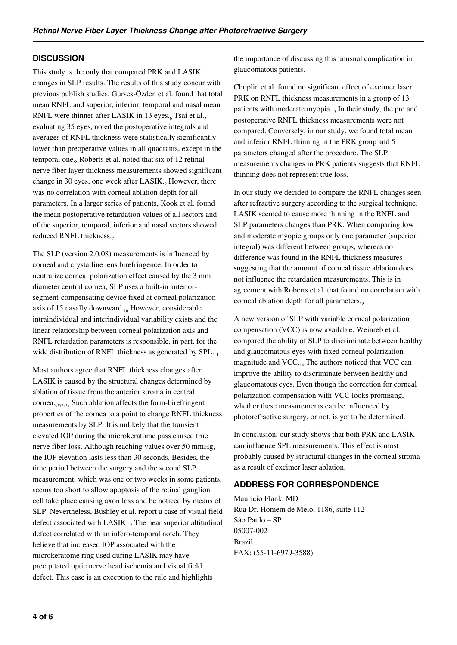# **DISCUSSION**

This study is the only that compared PRK and LASIK changes in SLP results. The results of this study concur with previous publish studies. Gürses-Özden et al. found that total mean RNFL and superior, inferior, temporal and nasal mean RNFL were thinner after LASIK in 13 eyes.<sub>6</sub> Tsai et al., evaluating 35 eyes, noted the postoperative integrals and averages of RNFL thickness were statistically significantly lower than preoperative values in all quadrants, except in the temporal one.<sub>8</sub> Roberts et al. noted that six of 12 retinal nerve fiber layer thickness measurements showed significant change in 30 eyes, one week after LASIK., However, there was no correlation with corneal ablation depth for all parameters. In a larger series of patients, Kook et al. found the mean postoperative retardation values of all sectors and of the superior, temporal, inferior and nasal sectors showed reduced RNFL thickness.

The SLP (version 2.0.08) measurements is influenced by corneal and crystalline lens birefringence. In order to neutralize corneal polarization effect caused by the 3 mm diameter central cornea, SLP uses a built-in anteriorsegment-compensating device fixed at corneal polarization axis of 15 nasally downward. $_{10}$  However, considerable intraindividual and interindividual variability exists and the linear relationship between corneal polarization axis and RNFL retardation parameters is responsible, in part, for the wide distribution of RNFL thickness as generated by SPL.<sub>11</sub>

Most authors agree that RNFL thickness changes after LASIK is caused by the structural changes determined by ablation of tissue from the anterior stroma in central cornea.<sub>677899</sub> Such ablation affects the form-birefringent properties of the cornea to a point to change RNFL thickness measurements by SLP. It is unlikely that the transient elevated IOP during the microkeratome pass caused true nerve fiber loss. Although reaching values over 50 mmHg, the IOP elevation lasts less than 30 seconds. Besides, the time period between the surgery and the second SLP measurement, which was one or two weeks in some patients, seems too short to allow apoptosis of the retinal ganglion cell take place causing axon loss and be noticed by means of SLP. Nevertheless, Bushley et al. report a case of visual field defect associated with  $LASIK_{12}$  The near superior altitudinal defect correlated with an infero-temporal notch. They believe that increased IOP associated with the microkeratome ring used during LASIK may have precipitated optic nerve head ischemia and visual field defect. This case is an exception to the rule and highlights

the importance of discussing this unusual complication in glaucomatous patients.

Choplin et al. found no significant effect of excimer laser PRK on RNFL thickness measurements in a group of 13 patients with moderate myopia. $_{13}$  In their study, the pre and postoperative RNFL thickness measurements were not compared. Conversely, in our study, we found total mean and inferior RNFL thinning in the PRK group and 5 parameters changed after the procedure. The SLP measurements changes in PRK patients suggests that RNFL thinning does not represent true loss.

In our study we decided to compare the RNFL changes seen after refractive surgery according to the surgical technique. LASIK seemed to cause more thinning in the RNFL and SLP parameters changes than PRK. When comparing low and moderate myopic groups only one parameter (superior integral) was different between groups, whereas no difference was found in the RNFL thickness measures suggesting that the amount of corneal tissue ablation does not influence the retardation measurements. This is in agreement with Roberts et al. that found no correlation with corneal ablation depth for all parameters.

A new version of SLP with variable corneal polarization compensation (VCC) is now available. Weinreb et al. compared the ability of SLP to discriminate between healthy and glaucomatous eyes with fixed corneal polarization magnitude and  $VCC_{14}$  The authors noticed that VCC can improve the ability to discriminate between healthy and glaucomatous eyes. Even though the correction for corneal polarization compensation with VCC looks promising, whether these measurements can be influenced by photorefractive surgery, or not, is yet to be determined.

In conclusion, our study shows that both PRK and LASIK can influence SPL measurements. This effect is most probably caused by structural changes in the corneal stroma as a result of excimer laser ablation.

# **ADDRESS FOR CORRESPONDENCE**

Mauricio Flank, MD Rua Dr. Homem de Melo, 1186, suite 112 São Paulo – SP 05007-002 Brazil FAX: (55-11-6979-3588)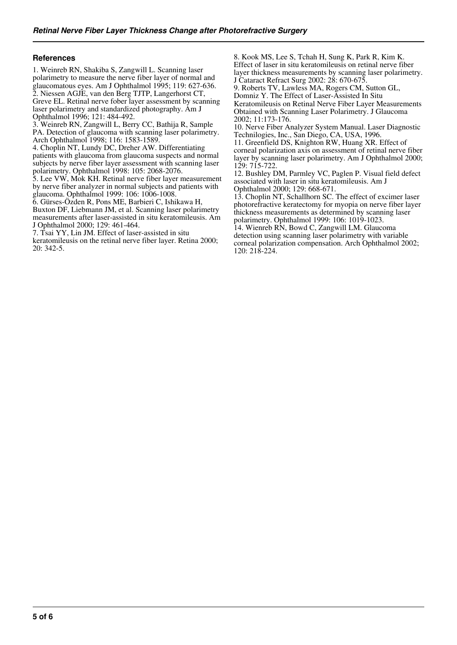#### **References**

1. Weinreb RN, Shakiba S, Zangwill L. Scanning laser polarimetry to measure the nerve fiber layer of normal and glaucomatous eyes. Am J Ophthalmol 1995; 119: 627-636. 2. Niessen AGJE, van den Berg TJTP, Langerhorst CT, Greve EL. Retinal nerve fober layer assessment by scanning laser polarimetry and standardized photography. Am J Ophthalmol 1996; 121: 484-492.

3. Weinreb RN, Zangwill L, Berry CC, Bathija R, Sample PA. Detection of glaucoma with scanning laser polarimetry. Arch Ophthalmol 1998; 116: 1583-1589.

4. Choplin NT, Lundy DC, Dreher AW. Differentiating patients with glaucoma from glaucoma suspects and normal subjects by nerve fiber layer assessment with scanning laser polarimetry. Ophthalmol 1998: 105: 2068-2076.

5. Lee VW, Mok KH. Retinal nerve fiber layer measurement by nerve fiber analyzer in normal subjects and patients with glaucoma. Ophthalmol 1999: 106: 1006-1008.

6. Gürses-Özden R, Pons ME, Barbieri C, Ishikawa H, Buxton DF, Liebmann JM, et al. Scanning laser polarimetry measurements after laser-assisted in situ keratomileusis. Am J Ophthalmol 2000; 129: 461-464.

7. Tsai YY, Lin JM. Effect of laser-assisted in situ

keratomileusis on the retinal nerve fiber layer. Retina 2000; 20: 342-5.

8. Kook MS, Lee S, Tchah H, Sung K, Park R, Kim K. Effect of laser in situ keratomileusis on retinal nerve fiber layer thickness measurements by scanning laser polarimetry. J Cataract Refract Surg 2002: 28: 670-675.

9. Roberts TV, Lawless MA, Rogers CM, Sutton GL, Domniz Y. The Effect of Laser-Assisted In Situ Keratomileusis on Retinal Nerve Fiber Layer Measurements Obtained with Scanning Laser Polarimetry. J Glaucoma 2002; 11:173-176.

10. Nerve Fiber Analyzer System Manual. Laser Diagnostic Technilogies, Inc., San Diego, CA, USA, 1996.

11. Greenfield DS, Knighton RW, Huang XR. Effect of corneal polarization axis on assessment of retinal nerve fiber layer by scanning laser polarimetry. Am J Ophthalmol 2000; 129: 715-722.

12. Bushley DM, Parmley VC, Paglen P. Visual field defect associated with laser in situ keratomileusis. Am J Ophthalmol 2000; 129: 668-671.

13. Choplin NT, Schallhorn SC. The effect of excimer laser photorefractive keratectomy for myopia on nerve fiber layer thickness measurements as determined by scanning laser polarimetry. Ophthalmol 1999: 106: 1019-1023.

14. Wienreb RN, Bowd C, Zangwill LM. Glaucoma detection using scanning laser polarimetry with variable corneal polarization compensation. Arch Ophthalmol 2002; 120: 218-224.